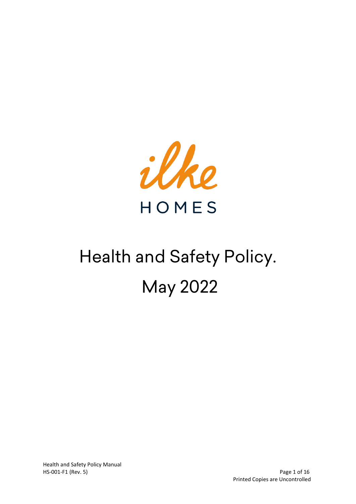

# Health and Safety Policy. May 2022

Health and Safety Policy Manual HS-001-F1 (Rev. 5) Page 1 of 16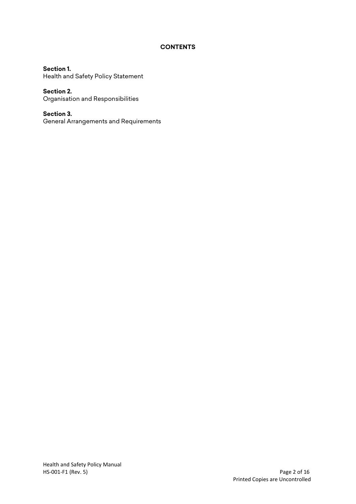## **CONTENTS**

**Section 1.** Health and Safety Policy Statement

**Section 2.** Organisation and Responsibilities

**Section 3.** General Arrangements and Requirements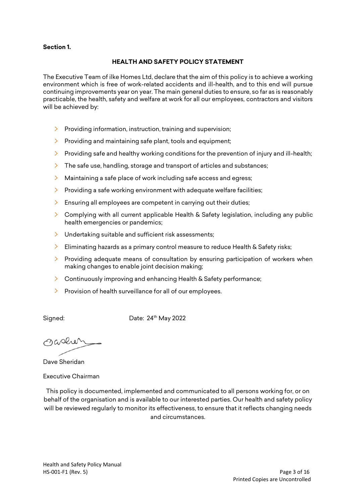## **Section 1.**

#### **HEALTH AND SAFETY POLICY STATEMENT**

The Executive Team of ilke Homes Ltd, declare that the aim of this policy is to achieve a working environment which is free of work-related accidents and ill-health, and to this end will pursue continuing improvements year on year. The main general duties to ensure, so far as is reasonably practicable, the health, safety and welfare at work for all our employees, contractors and visitors will be achieved by:

- $\triangleright$  Providing information, instruction, training and supervision;
- $\triangleright$  Providing and maintaining safe plant, tools and equipment;
- $\triangleright$  Providing safe and healthy working conditions for the prevention of injury and ill-health;
- $\geq$  The safe use, handling, storage and transport of articles and substances;
- $\sum_{i=1}^{n}$ Maintaining a safe place of work including safe access and egress;
- $\triangleright$  Providing a safe working environment with adequate welfare facilities;
- $\geq$  Ensuring all employees are competent in carrying out their duties;
- > Complying with all current applicable Health & Safety legislation, including any public health emergencies or pandemics;
- $\geq$  Undertaking suitable and sufficient risk assessments;
- $\sum$ Eliminating hazards as a primary control measure to reduce Health & Safety risks;
- $\sum_{i=1}^{n}$ Providing adequate means of consultation by ensuring participation of workers when making changes to enable joint decision making;
- $\geq$  Continuously improving and enhancing Health & Safety performance:
- $\triangleright$  Provision of health surveillance for all of our employees.

Signed: Date: 24<sup>th</sup> May 2022

Oaslen

Dave Sheridan

Executive Chairman

This policy is documented, implemented and communicated to all persons working for, or on behalf of the organisation and is available to our interested parties. Our health and safety policy will be reviewed regularly to monitor its effectiveness, to ensure that it reflects changing needs and circumstances.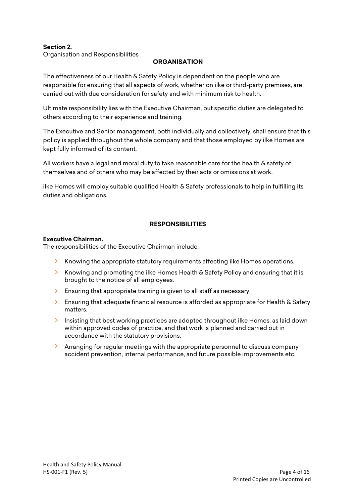## **Section 2.** Organisation and Responsibilities

## **ORGANISATION**

The effectiveness of our Health & Safety Policy is dependent on the people who are responsible for ensuring that all aspects of work, whether on ilke or third-party premises, are carried out with due consideration for safety and with minimum risk to health.

Ultimate responsibility lies with the Executive Chairman, but specific duties are delegated to others according to their experience and training.

The Executive and Senior management, both individually and collectively, shall ensure that this policy is applied throughout the whole company and that those employed by ilke Homes are kept fully informed of its content.

All workers have a legal and moral duty to take reasonable care for the health & safety of themselves and of others who may be affected by their acts or omissions at work.

ilke Homes will employ suitable qualified Health & Safety professionals to help in fulfilling its duties and obligations.

## **RESPONSIBILITIES**

## **Executive Chairman.**

The responsibilities of the Executive Chairman include:

- $\sum_{i=1}^{n}$ Knowing the appropriate statutory requirements affecting ilke Homes operations.
- $\sum$ Knowing and promoting the ilke Homes Health & Safety Policy and ensuring that it is brought to the notice of all employees.
- $\geq$  Ensuring that appropriate training is given to all staff as necessary.
- $\sum_{i=1}^{n}$ Ensuring that adequate financial resource is afforded as appropriate for Health & Safety matters.
- $\sum_{i=1}^{n}$ Insisting that best working practices are adopted throughout ilke Homes, as laid down within approved codes of practice, and that work is planned and carried out in accordance with the statutory provisions.
- $\geq$  Arranging for regular meetings with the appropriate personnel to discuss company accident prevention, internal performance, and future possible improvements etc.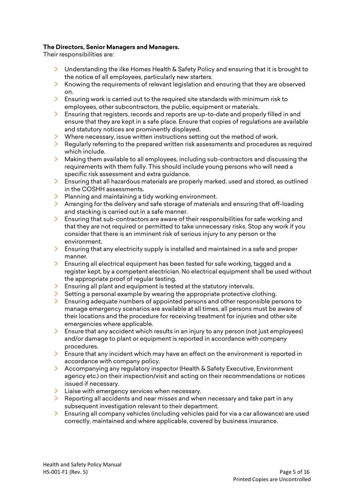## **The Directors, Senior Managers and Managers.**

Their responsibilities are:

- $\geq$  Understanding the ilke Homes Health & Safety Policy and ensuring that it is brought to the notice of all employees, particularly new starters.
- $\sum_{i=1}^{n}$ Knowing the requirements of relevant legislation and ensuring that they are observed on.
- $\geq$  Ensuring work is carried out to the required site standards with minimum risk to employees, other subcontractors, the public, equipment or materials.
- $\sum_{i=1}^{n}$ Ensuring that registers, records and reports are up-to-date and properly filled in and ensure that they are kept in a safe place. Ensure that copies of regulations are available and statutory notices are prominently displayed.
- $\angle$  Where necessary, issue written instructions setting out the method of work.
- $\sum_{i=1}^{n}$ Regularly referring to the prepared written risk assessments and procedures as required which include.
- $\lambda$  Making them available to all employees, including sub-contractors and discussing the requirements with them fully. This should include young persons who will need a specific risk assessment and extra guidance.
- $\sum_{i=1}^{n}$ Ensuring that all hazardous materials are properly marked, used and stored, as outlined in the COSHH assessments.
- $\geq$  Planning and maintaining a tidy working environment.
- $\lambda$  Arranging for the delivery and safe storage of materials and ensuring that off-loading and stacking is carried out in a safe manner.
- $\geq$  Ensuring that sub-contractors are aware of their responsibilities for safe working and that they are not required or permitted to take unnecessary risks. Stop any work if you consider that there is an imminent risk of serious injury to any person or the environment.
- $\sum$ Ensuring that any electricity supply is installed and maintained in a safe and proper manner.
- $\geq$  Ensuring all electrical equipment has been tested for safe working, tagged and a register kept, by a competent electrician. No electrical equipment shall be used without the appropriate proof of regular testing.
- $\geq$  Ensuring all plant and equipment is tested at the statutory intervals.
- $\sum_{i=1}^{n}$ Setting a personal example by wearing the appropriate protective clothing.
- $\sum_{i=1}^{n}$ Ensuring adequate numbers of appointed persons and other responsible persons to manage emergency scenarios are available at all times, all persons must be aware of their locations and the procedure for receiving treatment for injuries and other site emergencies where applicable.
- $\sum_{i=1}^{n}$ Ensure that any accident which results in an injury to any person (not just employees) and/or damage to plant or equipment is reported in accordance with company procedures.
- $\overline{\phantom{a}}$  Ensure that any incident which may have an effect on the environment is reported in accordance with company policy.
- $\sum_{i=1}^{n}$ Accompanying any regulatory inspector (Health & Safety Executive, Environment agency etc.) on their inspection/visit and acting on their recommendations or notices issued if necessary.
- $\geq$  Liaise with emergency services when necessary.
- $\geq$  Reporting all accidents and near misses and when necessary and take part in any subsequent investigation relevant to their department.
- $\sum_{i=1}^{n}$ Ensuring all company vehicles (including vehicles paid for via a car allowance) are used correctly, maintained and where applicable, covered by business insurance.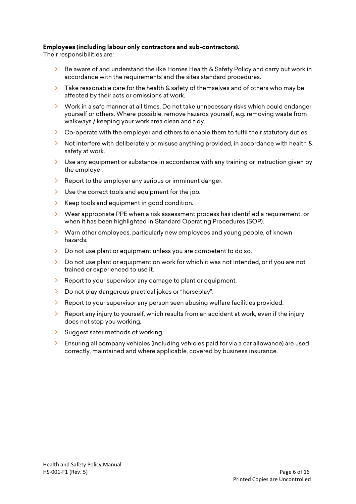## **Employees (including labour only contractors and sub-contractors).**

Their responsibilities are:

- $\geq$  Be aware of and understand the ilke Homes Health & Safety Policy and carry out work in accordance with the requirements and the sites standard procedures.
- $\sum_{i=1}^{n}$ Take reasonable care for the health & safety of themselves and of others who may be affected by their acts or omissions at work.
- $\geq$  Work in a safe manner at all times. Do not take unnecessary risks which could endanger yourself or others. Where possible, remove hazards yourself, e.g. removing waste from walkways / keeping your work area clean and tidy.
- $\geq$  Co-operate with the employer and others to enable them to fulfil their statutory duties.
- $\triangleright$  Not interfere with deliberately or misuse anything provided, in accordance with health & safety at work.
- $\geq$  Use any equipment or substance in accordance with any training or instruction given by the employer.
- $\geq$  Report to the employer any serious or imminent danger.
- $\geq$  Use the correct tools and equipment for the job.
- $\geq$  Keep tools and equipment in good condition.
- $\geq$  Wear appropriate PPE when a risk assessment process has identified a requirement, or when it has been highlighted in Standard Operating Procedures (SOP).
- $\angle$  Warn other employees, particularly new employees and young people, of known hazards.
- $\geq$  Do not use plant or equipment unless you are competent to do so.
- $\sum_{i=1}^{n}$ Do not use plant or equipment on work for which it was not intended, or if you are not trained or experienced to use it.
- $\sum_{i=1}^{n}$ Report to your supervisor any damage to plant or equipment.
- > Do not play dangerous practical jokes or "horseplay".
- $\geq$  Report to your supervisor any person seen abusing welfare facilities provided.
- $\sum_{i=1}^{n}$ Report any injury to yourself, which results from an accident at work, even if the injury does not stop you working.
- $\geq$  Suggest safer methods of working.
- $\sum_{i=1}^{n}$ Ensuring all company vehicles (including vehicles paid for via a car allowance) are used correctly, maintained and where applicable, covered by business insurance.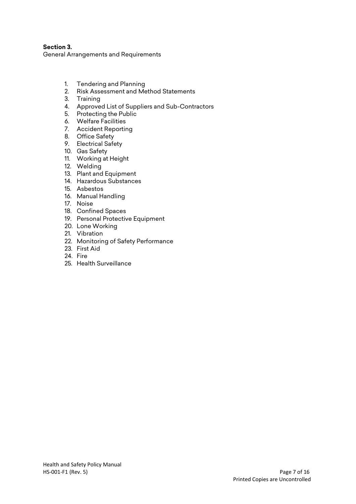**Section 3.** General Arrangements and Requirements

- 1. Tendering and Planning
- 2. Risk Assessment and Method Statements
- 3. Training
- 4. Approved List of Suppliers and Sub-Contractors
- 5. Protecting the Public
- 6. Welfare Facilities
- 7. Accident Reporting
- 8. Office Safety
- 9. Electrical Safety
- 10. Gas Safety
- 11. Working at Height
- 12. Welding
- 13. Plant and Equipment
- 14. Hazardous Substances
- 15. Asbestos
- 16. Manual Handling
- 17. Noise
- 18. Confined Spaces
- 19. Personal Protective Equipment
- 20. Lone Working
- 21. Vibration
- 22. Monitoring of Safety Performance
- 23. First Aid
- 24. Fire
- 25. Health Surveillance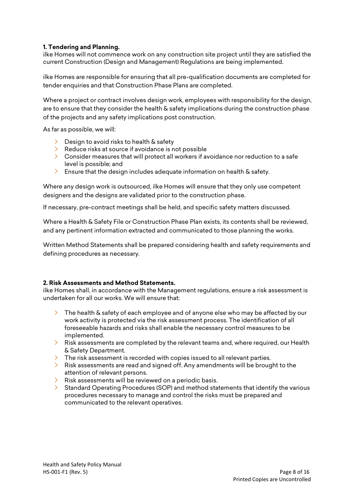## **1. Tendering and Planning.**

ilke Homes will not commence work on any construction site project until they are satisfied the current Construction (Design and Management) Regulations are being implemented.

ilke Homes are responsible for ensuring that all pre-qualification documents are completed for tender enquiries and that Construction Phase Plans are completed.

Where a project or contract involves design work, employees with responsibility for the design, are to ensure that they consider the health & safety implications during the construction phase of the projects and any safety implications post construction.

As far as possible, we will:

- $\geq$  Design to avoid risks to health & safety
- $\geq$  Reduce risks at source if avoidance is not possible
- $\geq$  Consider measures that will protect all workers if avoidance nor reduction to a safe level is possible; and
- $\geq$  Ensure that the design includes adequate information on health & safety.

Where any design work is outsourced, ilke Homes will ensure that they only use competent designers and the designs are validated prior to the construction phase.

If necessary, pre-contract meetings shall be held, and specific safety matters discussed.

Where a Health & Safety File or Construction Phase Plan exists, its contents shall be reviewed, and any pertinent information extracted and communicated to those planning the works.

Written Method Statements shall be prepared considering health and safety requirements and defining procedures as necessary.

## **2. Risk Assessments and Method Statements.**

ilke Homes shall, in accordance with the Management regulations, ensure a risk assessment is undertaken for all our works. We will ensure that:

- $\geq$  The health & safety of each employee and of anyone else who may be affected by our work activity is protected via the risk assessment process. The identification of all foreseeable hazards and risks shall enable the necessary control measures to be implemented.
- $\geq$  Risk assessments are completed by the relevant teams and, where required, our Health & Safety Department.
- $\ge$  The risk assessment is recorded with copies issued to all relevant parties.
- $\geq$  Risk assessments are read and signed off. Any amendments will be brought to the attention of relevant persons.
- $\blacktriangleright$  Risk assessments will be reviewed on a periodic basis.
- $\sum_{i=1}^{n}$ Standard Operating Procedures (SOP) and method statements that identify the various procedures necessary to manage and control the risks must be prepared and communicated to the relevant operatives.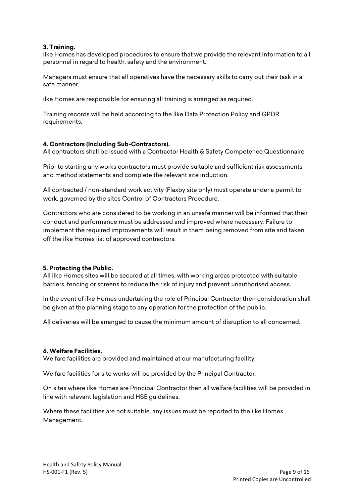#### **3. Training.**

ilke Homes has developed procedures to ensure that we provide the relevant information to all personnel in regard to health, safety and the environment.

Managers must ensure that all operatives have the necessary skills to carry out their task in a safe manner.

ilke Homes are responsible for ensuring all training is arranged as required.

Training records will be held according to the ilke Data Protection Policy and GPDR requirements.

#### **4. Contractors (Including Sub-Contractors).**

All contractors shall be issued with a Contractor Health & Safety Competence Questionnaire.

Prior to starting any works contractors must provide suitable and sufficient risk assessments and method statements and complete the relevant site induction.

All contracted / non-standard work activity (Flaxby site only) must operate under a permit to work, governed by the sites Control of Contractors Procedure.

Contractors who are considered to be working in an unsafe manner will be informed that their conduct and performance must be addressed and improved where necessary. Failure to implement the required improvements will result in them being removed from site and taken off the ilke Homes list of approved contractors.

## **5. Protecting the Public.**

All ilke Homes sites will be secured at all times, with working areas protected with suitable barriers, fencing or screens to reduce the risk of injury and prevent unauthorised access.

In the event of ilke Homes undertaking the role of Principal Contractor then consideration shall be given at the planning stage to any operation for the protection of the public.

All deliveries will be arranged to cause the minimum amount of disruption to all concerned.

#### **6. Welfare Facilities.**

Welfare facilities are provided and maintained at our manufacturing facility.

Welfare facilities for site works will be provided by the Principal Contractor.

On sites where ilke Homes are Principal Contractor then all welfare facilities will be provided in line with relevant legislation and HSE guidelines.

Where these facilities are not suitable, any issues must be reported to the ilke Homes Management.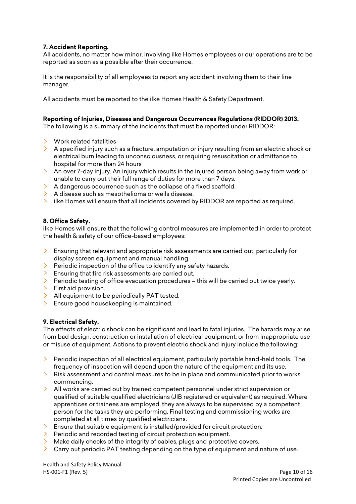## **7. Accident Reporting.**

All accidents, no matter how minor, involving ilke Homes employees or our operations are to be reported as soon as a possible after their occurrence.

It is the responsibility of all employees to report any accident involving them to their line manager.

All accidents must be reported to the ilke Homes Health & Safety Department.

#### **Reporting of Injuries, Diseases and Dangerous Occurrences Regulations (RIDDOR) 2013.**

The following is a summary of the incidents that must be reported under RIDDOR:

- Work related fatalities
- $\geq$  A specified injury such as a fracture, amputation or injury resulting from an electric shock or electrical burn leading to unconsciousness, or requiring resuscitation or admittance to hospital for more than 24 hours
- $\lambda$  An over 7-day injury. An injury which results in the injured person being away from work or unable to carry out their full range of duties for more than 7 days.
- $\lambda$  A dangerous occurrence such as the collapse of a fixed scaffold.
- $\geq$  A disease such as mesothelioma or weils disease.
- $\geq$  ilke Homes will ensure that all incidents covered by RIDDOR are reported as required.

#### **8. Office Safety.**

ilke Homes will ensure that the following control measures are implemented in order to protect the health & safety of our office-based employees:

- $\geq$  Ensuring that relevant and appropriate risk assessments are carried out, particularly for display screen equipment and manual handling.
- $\geq$  Periodic inspection of the office to identify any safety hazards.
- $\geq$  Ensuring that fire risk assessments are carried out.
- $\ge$  Periodic testing of office evacuation procedures this will be carried out twice yearly.
- $\triangleright$  First aid provision.
- $\geq$  All equipment to be periodically PAT tested.
- > Ensure good housekeeping is maintained.

## **9. Electrical Safety.**

The effects of electric shock can be significant and lead to fatal injuries. The hazards may arise from bad design, construction or installation of electrical equipment, or from inappropriate use or misuse of equipment. Actions to prevent electric shock and injury include the following:

- $\ge$  Periodic inspection of all electrical equipment, particularly portable hand-held tools. The frequency of inspection will depend upon the nature of the equipment and its use.
- $\geq$  Risk assessment and control measures to be in place and communicated prior to works commencing.
- $\geq$  All works are carried out by trained competent personnel under strict supervision or qualified of suitable qualified electricians (JIB registered or equivalent) as required. Where apprentices or trainees are employed, they are always to be supervised by a competent person for the tasks they are performing. Final testing and commissioning works are completed at all times by qualified electricians.
- $\geq$  Ensure that suitable equipment is installed/provided for circuit protection.
- $\triangleright$  Periodic and recorded testing of circuit protection equipment.
- $\lambda$  Make daily checks of the integrity of cables, plugs and protective covers.
- $\geq$  Carry out periodic PAT testing depending on the type of equipment and nature of use.

Health and Safety Policy Manual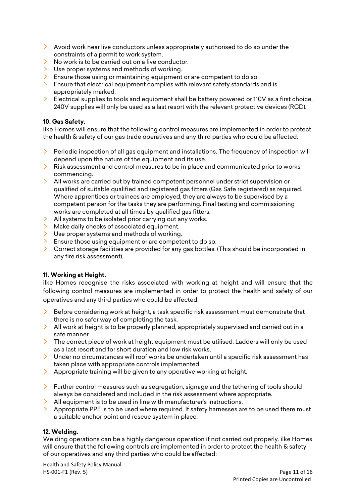- $\geq$  Avoid work near live conductors unless appropriately authorised to do so under the constraints of a permit to work system.
- $\geq$  No work is to be carried out on a live conductor.
- $\angle$  Use proper systems and methods of working.
- $\geq$  Ensure those using or maintaining equipment or are competent to do so.
- $\geq$  Ensure that electrical equipment complies with relevant safety standards and is appropriately marked.
- $\geq$  Electrical supplies to tools and equipment shall be battery powered or 110V as a first choice, 240V supplies will only be used as a last resort with the relevant protective devices (RCD).

## **10. Gas Safety.**

ilke Homes will ensure that the following control measures are implemented in order to protect the health & safety of our gas trade operatives and any third parties who could be affected:

- $\triangleright$  Periodic inspection of all gas equipment and installations. The frequency of inspection will depend upon the nature of the equipment and its use.
- $\geq$  Risk assessment and control measures to be in place and communicated prior to works commencing.
- $\geq$  All works are carried out by trained competent personnel under strict supervision or qualified of suitable qualified and registered gas fitters (Gas Safe registered) as required. Where apprentices or trainees are employed, they are always to be supervised by a competent person for the tasks they are performing. Final testing and commissioning works are completed at all times by qualified gas fitters.
- $\lambda$  All systems to be isolated prior carrying out any works.
- $\angle$  Make daily checks of associated equipment.
- $\geq$  Use proper systems and methods of working.
- $\geq$  Ensure those using equipment or are competent to do so.
- $\geq$  Correct storage facilities are provided for any gas bottles. (This should be incorporated in any fire risk assessment).

## **11. Working at Height.**

ilke Homes recognise the risks associated with working at height and will ensure that the following control measures are implemented in order to protect the health and safety of our operatives and any third parties who could be affected:

- $\geq$  Before considering work at height, a task specific risk assessment must demonstrate that there is no safer way of completing the task.
- $\ge$  All work at height is to be properly planned, appropriately supervised and carried out in a safe manner.
- $\geq$  The correct piece of work at height equipment must be utilised. Ladders will only be used as a last resort and for short duration and low risk works.
- $\geq$  Under no circumstances will roof works be undertaken until a specific risk assessment has taken place with appropriate controls implemented.
- $\lambda$  Appropriate training will be given to any operative working at height.
- $\triangleright$  Further control measures such as segregation, signage and the tethering of tools should always be considered and included in the risk assessment where appropriate.
- $\lambda$  All equipment is to be used in line with manufacturer's instructions.
- $\geq$  Appropriate PPE is to be used where required. If safety harnesses are to be used there must a suitable anchor point and rescue system in place.

## **12. Welding.**

Welding operations can be a highly dangerous operation if not carried out properly. ilke Homes will ensure that the following controls are implemented in order to protect the health & safety of our operatives and any third parties who could be affected:

Health and Safety Policy Manual HS-001-F1 (Rev. 5) Page 11 of 16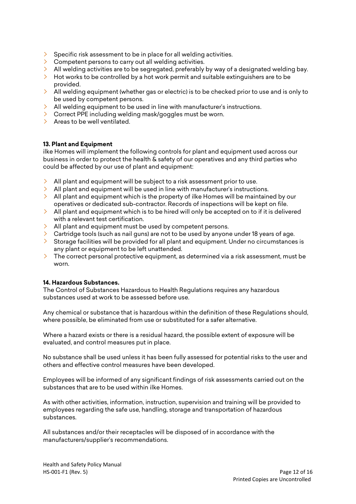- $\geq$  Specific risk assessment to be in place for all welding activities.
- Competent persons to carry out all welding activities.
- All welding activities are to be segregated, preferably by way of a designated welding bay.
- > Hot works to be controlled by a hot work permit and suitable extinguishers are to be provided.
- provided.<br>All welding equipment (whether gas or electric) is to be checked prior to use and is only to  $\geq 2$ be used by competent persons.
- $\geq$  All welding equipment to be used in line with manufacturer's instructions.
- > Correct PPE including welding mask/goggles must be worn.
- > Areas to be well ventilated.

## **13. Plant and Equipment**

ilke Homes will implement the following controls for plant and equipment used across our business in order to protect the health & safety of our operatives and any third parties who could be affected by our use of plant and equipment:

- $\geq$  All plant and equipment will be subject to a risk assessment prior to use.
- $\ge$  All plant and equipment will be used in line with manufacturer's instructions.
- $\ge$  All plant and equipment which is the property of ilke Homes will be maintained by our operatives or dedicated sub-contractor. Records of inspections will be kept on file.
- All plant and equipment which is to be hired will only be accepted on to if it is delivered with a relevant test certification.
- $\lambda$  All plant and equipment must be used by competent persons.
- $\geq$  Cartridge tools (such as nail guns) are not to be used by anyone under 18 years of age.
- $\geq$  Storage facilities will be provided for all plant and equipment. Under no circumstances is any plant or equipment to be left unattended.
- $\geq$  The correct personal protective equipment, as determined via a risk assessment, must be worn.

#### **14. Hazardous Substances.**

The Control of Substances Hazardous to Health Regulations requires any hazardous substances used at work to be assessed before use.

Any chemical or substance that is hazardous within the definition of these Regulations should, where possible, be eliminated from use or substituted for a safer alternative.

Where a hazard exists or there is a residual hazard, the possible extent of exposure will be evaluated, and control measures put in place.

No substance shall be used unless it has been fully assessed for potential risks to the user and others and effective control measures have been developed.

Employees will be informed of any significant findings of risk assessments carried out on the substances that are to be used within ilke Homes.

As with other activities, information, instruction, supervision and training will be provided to employees regarding the safe use, handling, storage and transportation of hazardous substances.

All substances and/or their receptacles will be disposed of in accordance with the manufacturers/supplier's recommendations.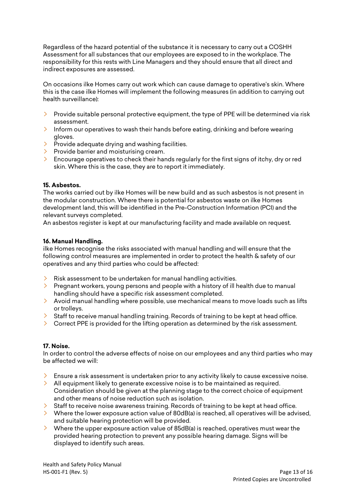Regardless of the hazard potential of the substance it is necessary to carry out a COSHH Assessment for all substances that our employees are exposed to in the workplace. The responsibility for this rests with Line Managers and they should ensure that all direct and indirect exposures are assessed.

On occasions ilke Homes carry out work which can cause damage to operative's skin. Where this is the case ilke Homes will implement the following measures (in addition to carrying out health surveillance):

- $\triangleright$  Provide suitable personal protective equipment, the type of PPE will be determined via risk assessment.
- $\geq$  Inform our operatives to wash their hands before eating, drinking and before wearing gloves.
- $\geq$  Provide adequate drying and washing facilities.
- $\triangleright$  Provide barrier and moisturising cream.
- $\geq$  Encourage operatives to check their hands regularly for the first signs of itchy, dry or red skin. Where this is the case, they are to report it immediately.

#### **15. Asbestos.**

The works carried out by ilke Homes will be new build and as such asbestos is not present in the modular construction. Where there is potential for asbestos waste on ilke Homes development land, this will be identified in the Pre-Construction Information (PCI) and the relevant surveys completed.

An asbestos register is kept at our manufacturing facility and made available on request.

#### **16. Manual Handling.**

ilke Homes recognise the risks associated with manual handling and will ensure that the following control measures are implemented in order to protect the health & safety of our operatives and any third parties who could be affected:

- $\geq$  Risk assessment to be undertaken for manual handling activities.
- $\geq$  Pregnant workers, young persons and people with a history of ill health due to manual handling should have a specific risk assessment completed.
- $\geq$  Avoid manual handling where possible, use mechanical means to move loads such as lifts or trolleys.
- $\geq$  Staff to receive manual handling training. Records of training to be kept at head office.
- $\geq$  Correct PPE is provided for the lifting operation as determined by the risk assessment.

#### **17. Noise.**

In order to control the adverse effects of noise on our employees and any third parties who may be affected we will:

- $\geq$  Ensure a risk assessment is undertaken prior to any activity likely to cause excessive noise.
- $\geq$  All equipment likely to generate excessive noise is to be maintained as required. Consideration should be given at the planning stage to the correct choice of equipment and other means of noise reduction such as isolation.
- $\geq$  Staff to receive noise awareness training. Records of training to be kept at head office.
- $\geq$  Where the lower exposure action value of 80dB(a) is reached, all operatives will be advised, and suitable hearing protection will be provided.
- $\geq$  Where the upper exposure action value of 85dB(a) is reached, operatives must wear the provided hearing protection to prevent any possible hearing damage. Signs will be displayed to identify such areas.

Health and Safety Policy Manual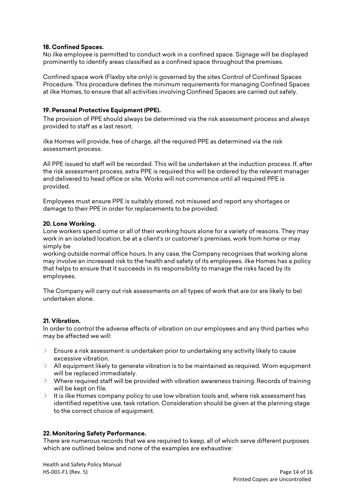#### **18. Confined Spaces.**

No ilke employee is permitted to conduct work in a confined space. Signage will be displayed prominently to identify areas classified as a confined space throughout the premises.

Confined space work (Flaxby site only) is governed by the sites Control of Confined Spaces Procedure. This procedure defines the minimum requirements for managing Confined Spaces at ilke Homes, to ensure that all activities involving Confined Spaces are carried out safely.

#### **19. Personal Protective Equipment (PPE).**

The provision of PPE should always be determined via the risk assessment process and always provided to staff as a last resort.

ilke Homes will provide, free of charge, all the required PPE as determined via the risk assessment process.

All PPE issued to staff will be recorded. This will be undertaken at the induction process. If, after the risk assessment process, extra PPE is required this will be ordered by the relevant manager and delivered to head office or site. Works will not commence until all required PPE is provided.

Employees must ensure PPE is suitably stored, not misused and report any shortages or damage to their PPE in order for replacements to be provided.

#### **20. Lone Working.**

Lone workers spend some or all of their working hours alone for a variety of reasons. They may work in an isolated location, be at a client's or customer's premises, work from home or may simply be

working outside normal office hours. In any case, the Company recognises that working alone may involve an increased risk to the health and safety of its employees. ilke Homes has a policy that helps to ensure that it succeeds in its responsibility to manage the risks faced by its employees.

The Company will carry out risk assessments on all types of work that are (or are likely to be) undertaken alone.

## **21. Vibration.**

In order to control the adverse effects of vibration on our employees and any third parties who may be affected we will:

- $\geq$  Ensure a risk assessment is undertaken prior to undertaking any activity likely to cause excessive vibration.
- $\geq$  All equipment likely to generate vibration is to be maintained as required. Worn equipment will be replaced immediately.
- $\lambda$  Where required staff will be provided with vibration awareness training. Records of training will be kept on file.
- $\geq$  It is ilke Homes company policy to use low vibration tools and, where risk assessment has identified repetitive use, task rotation. Consideration should be given at the planning stage to the correct choice of equipment.

#### **22. Monitoring Safety Performance.**

There are numerous records that we are required to keep, all of which serve different purposes which are outlined below and none of the examples are exhaustive:

Health and Safety Policy Manual HS-001-F1 (Rev. 5) Page 14 of 16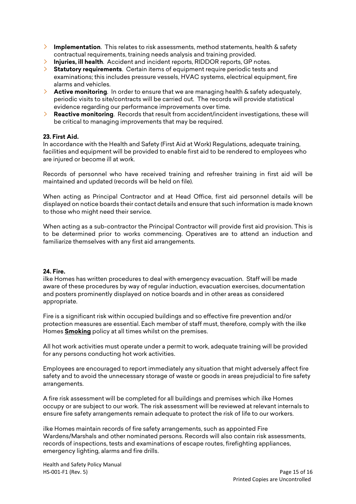- **Implementation**. This relates to risk assessments, method statements, health & safety contractual requirements, training needs analysis and training provided.
- **Injuries, ill health**. Accident and incident reports, RIDDOR reports, GP notes.
- **Statutory requirements**. Certain items of equipment require periodic tests and examinations; this includes pressure vessels, HVAC systems, electrical equipment, fire alarms and vehicles.
- **Active monitoring**. In order to ensure that we are managing health & safety adequately, periodic visits to site/contracts will be carried out. The records will provide statistical evidence regarding our performance improvements over time.
- $\sum_{i=1}^{n}$ **Reactive monitoring**. Records that result from accident/incident investigations, these will be critical to managing improvements that may be required.

#### **23. First Aid.**

In accordance with the Health and Safety (First Aid at Work) Regulations, adequate training, facilities and equipment will be provided to enable first aid to be rendered to employees who are injured or become ill at work.

Records of personnel who have received training and refresher training in first aid will be maintained and updated (records will be held on file).

When acting as Principal Contractor and at Head Office, first aid personnel details will be displayed on notice boards their contact details and ensure that such information is made known to those who might need their service.

When acting as a sub-contractor the Principal Contractor will provide first aid provision. This is to be determined prior to works commencing. Operatives are to attend an induction and familiarize themselves with any first aid arrangements.

#### **24. Fire.**

ilke Homes has written procedures to deal with emergency evacuation. Staff will be made aware of these procedures by way of regular induction, evacuation exercises, documentation and posters prominently displayed on notice boards and in other areas as considered appropriate.

Fire is a significant risk within occupied buildings and so effective fire prevention and/or protection measures are essential. Each member of staff must, therefore, comply with the ilke Homes **Smoking** policy at all times whilst on the premises.

All hot work activities must operate under a permit to work, adequate training will be provided for any persons conducting hot work activities.

Employees are encouraged to report immediately any situation that might adversely affect fire safety and to avoid the unnecessary storage of waste or goods in areas prejudicial to fire safety arrangements.

A fire risk assessment will be completed for all buildings and premises which ilke Homes occupy or are subject to our work. The risk assessment will be reviewed at relevant internals to ensure fire safety arrangements remain adequate to protect the risk of life to our workers.

ilke Homes maintain records of fire safety arrangements, such as appointed Fire Wardens/Marshals and other nominated persons. Records will also contain risk assessments, records of inspections, tests and examinations of escape routes, firefighting appliances, emergency lighting, alarms and fire drills.